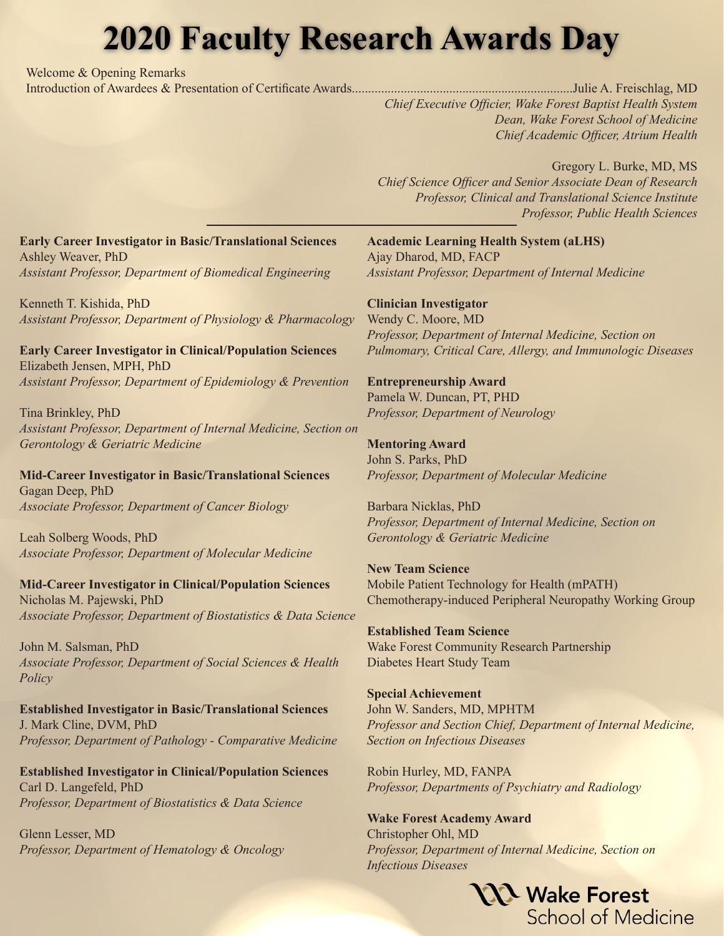## **2020 Faculty Research Awards Day**

Welcome & Opening Remarks

Introduction of Awardees & Presentation of Certificate Awards....................................................................Julie A. Freischlag, MD

*Chief Executive Officier, Wake Forest Baptist Health System Dean, Wake Forest School of Medicine Chief Academic Officer, Atrium Health*

Gregory L. Burke, MD, MS *Chief Science Officer and Senior Associate Dean of Research Professor, Clinical and Translational Science Institute Professor, Public Health Sciences*

**Early Career Investigator in Basic/Translational Sciences** Ashley Weaver, PhD *Assistant Professor, Department of Biomedical Engineering*

Kenneth T. Kishida, PhD *Assistant Professor, Department of Physiology & Pharmacology*

**Early Career Investigator in Clinical/Population Sciences** Elizabeth Jensen, MPH, PhD *Assistant Professor, Department of Epidemiology & Prevention*

Tina Brinkley, PhD *Assistant Professor, Department of Internal Medicine, Section on Gerontology & Geriatric Medicine*

**Mid-Career Investigator in Basic/Translational Sciences** Gagan Deep, PhD *Associate Professor, Department of Cancer Biology*

Leah Solberg Woods, PhD *Associate Professor, Department of Molecular Medicine*

**Mid-Career Investigator in Clinical/Population Sciences** Nicholas M. Pajewski, PhD *Associate Professor, Department of Biostatistics & Data Science*

John M. Salsman, PhD *Associate Professor, Department of Social Sciences & Health Policy*

**Established Investigator in Basic/Translational Sciences** J. Mark Cline, DVM, PhD *Professor, Department of Pathology - Comparative Medicine*

**Established Investigator in Clinical/Population Sciences** Carl D. Langefeld, PhD *Professor, Department of Biostatistics & Data Science*

Glenn Lesser, MD *Professor, Department of Hematology & Oncology* **Academic Learning Health System (aLHS)** Ajay Dharod, MD, FACP *Assistant Professor, Department of Internal Medicine*

**Clinician Investigator** Wendy C. Moore, MD *Professor, Department of Internal Medicine, Section on Pulmomary, Critical Care, Allergy, and Immunologic Diseases*

## **Entrepreneurship Award** Pamela W. Duncan, PT, PHD

*Professor, Department of Neurology*

**Mentoring Award** John S. Parks, PhD *Professor, Department of Molecular Medicine*

Barbara Nicklas, PhD *Professor, Department of Internal Medicine, Section on Gerontology & Geriatric Medicine*

**New Team Science** Mobile Patient Technology for Health (mPATH) Chemotherapy-induced Peripheral Neuropathy Working Group

**Established Team Science**  Wake Forest Community Research Partnership Diabetes Heart Study Team

**Special Achievement** John W. Sanders, MD, MPHTM *Professor and Section Chief, Department of Internal Medicine, Section on Infectious Diseases*

Robin Hurley, MD, FANPA *Professor, Departments of Psychiatry and Radiology*

**Wake Forest Academy Award** Christopher Ohl, MD *Professor, Department of Internal Medicine, Section on Infectious Diseases*